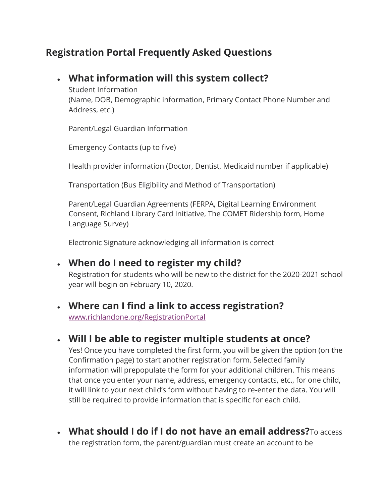### **Registration Portal Frequently Asked Questions**

### • **What information will this system collect?**

Student Information (Name, DOB, Demographic information, Primary Contact Phone Number and Address, etc.)

Parent/Legal Guardian Information

Emergency Contacts (up to five)

Health provider information (Doctor, Dentist, Medicaid number if applicable)

Transportation (Bus Eligibility and Method of Transportation)

Parent/Legal Guardian Agreements (FERPA, Digital Learning Environment Consent, Richland Library Card Initiative, The COMET Ridership form, Home Language Survey)

Electronic Signature acknowledging all information is correct

#### • **When do I need to register my child?**

Registration for students who will be new to the district for the 2020-2021 school year will begin on February 10, 2020.

# • **Where can I find a link to access registration?**

[www.richlandone.org/RegistrationPortal](http://www.richlandone.org/RegistrationPortal)

### • **Will I be able to register multiple students at once?**

Yes! Once you have completed the first form, you will be given the option (on the Confirmation page) to start another registration form. Selected family information will prepopulate the form for your additional children. This means that once you enter your name, address, emergency contacts, etc., for one child, it will link to your next child's form without having to re-enter the data. You will still be required to provide information that is specific for each child.

• **What should I do if I do not have an email address?**To access the registration form, the parent/guardian must create an account to be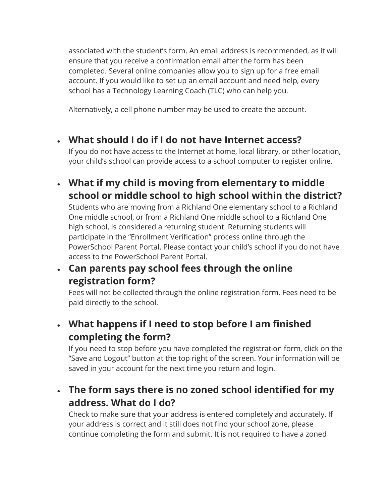associated with the student's form. An email address is recommended, as it will ensure that you receive a confirmation email after the form has been completed. Several online companies allow you to sign up for a free email account. If you would like to set up an email account and need help, every school has a Technology Learning Coach (TLC) who can help you.

Alternatively, a cell phone number may be used to create the account.

• **What should I do if I do not have Internet access?**

If you do not have access to the Internet at home, local library, or other location, your child's school can provide access to a school computer to register online.

• **What if my child is moving from elementary to middle school or middle school to high school within the district?**

Students who are moving from a Richland One elementary school to a Richland One middle school, or from a Richland One middle school to a Richland One high school, is considered a returning student. Returning students will participate in the "Enrollment Verification" process online through the PowerSchool Parent Portal. Please contact your child's school if you do not have access to the PowerSchool Parent Portal.

# • **Can parents pay school fees through the online registration form?**

Fees will not be collected through the online registration form. Fees need to be paid directly to the school.

• **What happens if I need to stop before I am finished completing the form?**

If you need to stop before you have completed the registration form, click on the "Save and Logout" button at the top right of the screen. Your information will be saved in your account for the next time you return and login.

# • **The form says there is no zoned school identified for my address. What do I do?**

Check to make sure that your address is entered completely and accurately. If your address is correct and it still does not find your school zone, please continue completing the form and submit. It is not required to have a zoned